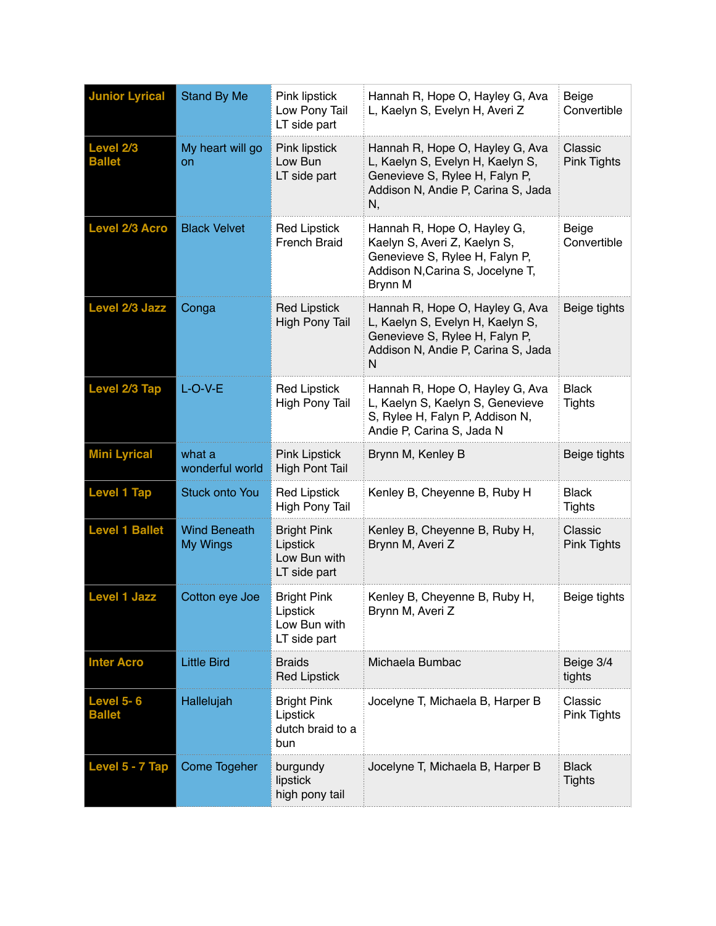| <b>Junior Lyrical</b>             | <b>Stand By Me</b>                     | Pink lipstick<br>Low Pony Tail<br>LT side part                 | Hannah R, Hope O, Hayley G, Ava<br>L, Kaelyn S, Evelyn H, Averi Z                                                                                 | Beige<br>Convertible          |
|-----------------------------------|----------------------------------------|----------------------------------------------------------------|---------------------------------------------------------------------------------------------------------------------------------------------------|-------------------------------|
| Level 2/3<br><b>Ballet</b>        | My heart will go<br>on                 | Pink lipstick<br>Low Bun<br>LT side part                       | Hannah R, Hope O, Hayley G, Ava<br>L, Kaelyn S, Evelyn H, Kaelyn S,<br>Genevieve S, Rylee H, Falyn P,<br>Addison N, Andie P, Carina S, Jada<br>N, | Classic<br>Pink Tights        |
| <b>Level 2/3 Acro</b>             | <b>Black Velvet</b>                    | <b>Red Lipstick</b><br><b>French Braid</b>                     | Hannah R, Hope O, Hayley G,<br>Kaelyn S, Averi Z, Kaelyn S,<br>Genevieve S, Rylee H, Falyn P,<br>Addison N, Carina S, Jocelyne T,<br>Brynn M      | Beige<br>Convertible          |
| Level 2/3 Jazz                    | Conga                                  | <b>Red Lipstick</b><br><b>High Pony Tail</b>                   | Hannah R, Hope O, Hayley G, Ava<br>L, Kaelyn S, Evelyn H, Kaelyn S,<br>Genevieve S, Rylee H, Falyn P,<br>Addison N, Andie P, Carina S, Jada<br>N  | Beige tights                  |
| Level 2/3 Tap                     | $L-O-V-E$                              | <b>Red Lipstick</b><br><b>High Pony Tail</b>                   | Hannah R, Hope O, Hayley G, Ava<br>L, Kaelyn S, Kaelyn S, Genevieve<br>S, Rylee H, Falyn P, Addison N,<br>Andie P, Carina S, Jada N               | <b>Black</b><br><b>Tights</b> |
| <b>Mini Lyrical</b>               | what a<br>wonderful world              | <b>Pink Lipstick</b><br><b>High Pont Tail</b>                  | Brynn M, Kenley B                                                                                                                                 | Beige tights                  |
| <b>Level 1 Tap</b>                | <b>Stuck onto You</b>                  | <b>Red Lipstick</b><br><b>High Pony Tail</b>                   | Kenley B, Cheyenne B, Ruby H                                                                                                                      | <b>Black</b><br><b>Tights</b> |
| <b>Level 1 Ballet</b>             | <b>Wind Beneath</b><br><b>My Wings</b> | <b>Bright Pink</b><br>Lipstick<br>Low Bun with<br>LT side part | Kenley B, Cheyenne B, Ruby H,<br>Brynn M, Averi Z                                                                                                 | Classic<br><b>Pink Tights</b> |
| <b>Level 1 Jazz</b>               | Cotton eye Joe                         | <b>Bright Pink</b><br>Lipstick<br>Low Bun with<br>LT side part | Kenley B, Cheyenne B, Ruby H,<br>Brynn M, Averi Z                                                                                                 | Beige tights                  |
| <b>Inter Acro</b>                 | <b>Little Bird</b>                     | <b>Braids</b><br><b>Red Lipstick</b>                           | Michaela Bumbac                                                                                                                                   | Beige 3/4<br>tights           |
| <b>Level 5-6</b><br><b>Ballet</b> | Hallelujah                             | <b>Bright Pink</b><br>Lipstick<br>dutch braid to a<br>bun      | Jocelyne T, Michaela B, Harper B                                                                                                                  | Classic<br><b>Pink Tights</b> |
| Level 5 - 7 Tap                   | Come Togeher                           | burgundy<br>lipstick<br>high pony tail                         | Jocelyne T, Michaela B, Harper B                                                                                                                  | <b>Black</b><br><b>Tights</b> |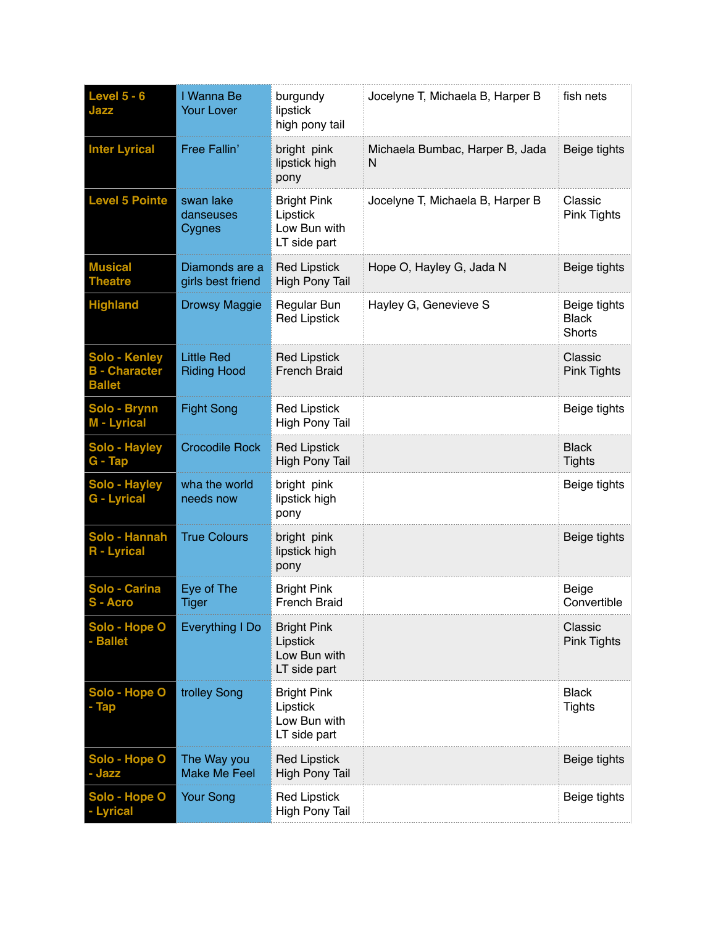| Level $5 - 6$<br>Jazz                                  | I Wanna Be<br><b>Your Lover</b>         | burgundy<br>lipstick<br>high pony tail                         | Jocelyne T, Michaela B, Harper B     | fish nets                                     |
|--------------------------------------------------------|-----------------------------------------|----------------------------------------------------------------|--------------------------------------|-----------------------------------------------|
| <b>Inter Lyrical</b>                                   | Free Fallin'                            | bright pink<br>lipstick high<br>pony                           | Michaela Bumbac, Harper B, Jada<br>N | Beige tights                                  |
| <b>Level 5 Pointe</b>                                  | swan lake<br>danseuses<br>Cygnes        | <b>Bright Pink</b><br>Lipstick<br>Low Bun with<br>LT side part | Jocelyne T, Michaela B, Harper B     | Classic<br>Pink Tights                        |
| <b>Musical</b><br><b>Theatre</b>                       | Diamonds are a<br>girls best friend     | <b>Red Lipstick</b><br><b>High Pony Tail</b>                   | Hope O, Hayley G, Jada N             | Beige tights                                  |
| <b>Highland</b>                                        | <b>Drowsy Maggie</b>                    | Regular Bun<br><b>Red Lipstick</b>                             | Hayley G, Genevieve S                | Beige tights<br><b>Black</b><br><b>Shorts</b> |
| Solo - Kenley<br><b>B</b> - Character<br><b>Ballet</b> | <b>Little Red</b><br><b>Riding Hood</b> | <b>Red Lipstick</b><br><b>French Braid</b>                     |                                      | Classic<br>Pink Tights                        |
| Solo - Brynn<br>M - Lyrical                            | <b>Fight Song</b>                       | <b>Red Lipstick</b><br>High Pony Tail                          |                                      | Beige tights                                  |
| Solo - Hayley<br>G - Tap                               | <b>Crocodile Rock</b>                   | <b>Red Lipstick</b><br><b>High Pony Tail</b>                   |                                      | <b>Black</b><br><b>Tights</b>                 |
| Solo - Hayley<br><b>G</b> - Lyrical                    | wha the world<br>needs now              | bright pink<br>lipstick high<br>pony                           |                                      | Beige tights                                  |
| Solo - Hannah<br><b>R</b> - Lyrical                    | <b>True Colours</b>                     | bright pink<br>lipstick high<br>pony                           |                                      | Beige tights                                  |
| Solo - Carina<br>S - Acro                              | Eye of The<br><b>Tiger</b>              | <b>Bright Pink</b><br><b>French Braid</b>                      |                                      | Beige<br>Convertible                          |
| Solo - Hope O<br>- Ballet                              | Everything I Do                         | <b>Bright Pink</b><br>Lipstick<br>Low Bun with<br>LT side part |                                      | Classic<br><b>Pink Tights</b>                 |
| Solo - Hope O<br>- Tap                                 | trolley Song                            | <b>Bright Pink</b><br>Lipstick<br>Low Bun with<br>LT side part |                                      | <b>Black</b><br><b>Tights</b>                 |
| Solo - Hope O<br>- Jazz                                | The Way you<br><b>Make Me Feel</b>      | <b>Red Lipstick</b><br><b>High Pony Tail</b>                   |                                      | Beige tights                                  |
| Solo - Hope O<br><b>Lyrical</b>                        | <b>Your Song</b>                        | <b>Red Lipstick</b><br><b>High Pony Tail</b>                   |                                      | Beige tights                                  |